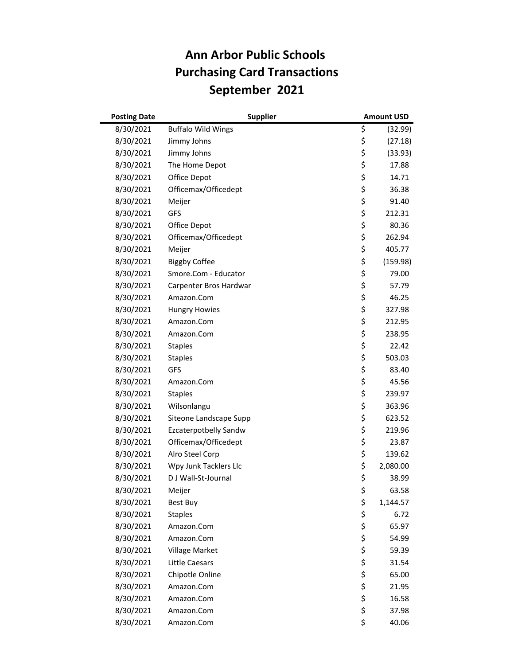## **Ann Arbor Public Schools Purchasing Card Transactions September 2021**

| <b>Posting Date</b> | <b>Supplier</b>              |    | <b>Amount USD</b> |
|---------------------|------------------------------|----|-------------------|
| 8/30/2021           | <b>Buffalo Wild Wings</b>    | \$ | (32.99)           |
| 8/30/2021           | Jimmy Johns                  | \$ | (27.18)           |
| 8/30/2021           | Jimmy Johns                  | \$ | (33.93)           |
| 8/30/2021           | The Home Depot               | \$ | 17.88             |
| 8/30/2021           | Office Depot                 | \$ | 14.71             |
| 8/30/2021           | Officemax/Officedept         | \$ | 36.38             |
| 8/30/2021           | Meijer                       | \$ | 91.40             |
| 8/30/2021           | GFS                          | \$ | 212.31            |
| 8/30/2021           | Office Depot                 | \$ | 80.36             |
| 8/30/2021           | Officemax/Officedept         | \$ | 262.94            |
| 8/30/2021           | Meijer                       | \$ | 405.77            |
| 8/30/2021           | <b>Biggby Coffee</b>         | \$ | (159.98)          |
| 8/30/2021           | Smore.Com - Educator         | \$ | 79.00             |
| 8/30/2021           | Carpenter Bros Hardwar       | \$ | 57.79             |
| 8/30/2021           | Amazon.Com                   | \$ | 46.25             |
| 8/30/2021           | <b>Hungry Howies</b>         | \$ | 327.98            |
| 8/30/2021           | Amazon.Com                   | \$ | 212.95            |
| 8/30/2021           | Amazon.Com                   | \$ | 238.95            |
| 8/30/2021           | <b>Staples</b>               | \$ | 22.42             |
| 8/30/2021           | <b>Staples</b>               | \$ | 503.03            |
| 8/30/2021           | GFS                          | \$ | 83.40             |
| 8/30/2021           | Amazon.Com                   | \$ | 45.56             |
| 8/30/2021           | <b>Staples</b>               | \$ | 239.97            |
| 8/30/2021           | Wilsonlangu                  | \$ | 363.96            |
| 8/30/2021           | Siteone Landscape Supp       | \$ | 623.52            |
| 8/30/2021           | <b>Ezcaterpotbelly Sandw</b> | \$ | 219.96            |
| 8/30/2021           | Officemax/Officedept         | \$ | 23.87             |
| 8/30/2021           | Alro Steel Corp              | \$ | 139.62            |
| 8/30/2021           | Wpy Junk Tacklers Llc        | \$ | 2,080.00          |
| 8/30/2021           | D J Wall-St-Journal          | \$ | 38.99             |
| 8/30/2021           | Meijer                       | Ş  | 63.58             |
| 8/30/2021           | <b>Best Buy</b>              | \$ | 1,144.57          |
| 8/30/2021           | <b>Staples</b>               | \$ | 6.72              |
| 8/30/2021           | Amazon.Com                   | \$ | 65.97             |
| 8/30/2021           | Amazon.Com                   | \$ | 54.99             |
| 8/30/2021           | Village Market               | \$ | 59.39             |
| 8/30/2021           | Little Caesars               | \$ | 31.54             |
| 8/30/2021           | Chipotle Online              | \$ | 65.00             |
| 8/30/2021           | Amazon.Com                   | \$ | 21.95             |
| 8/30/2021           | Amazon.Com                   | \$ | 16.58             |
| 8/30/2021           | Amazon.Com                   | \$ | 37.98             |
| 8/30/2021           | Amazon.Com                   | \$ | 40.06             |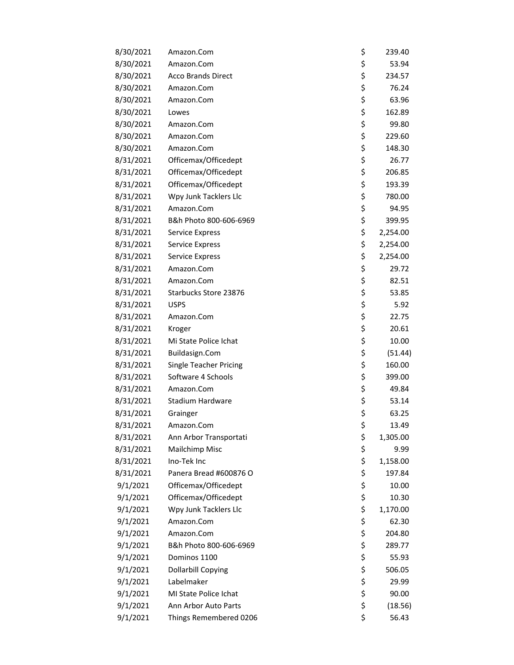| 8/30/2021 | Amazon.Com                    | \$<br>239.40   |
|-----------|-------------------------------|----------------|
| 8/30/2021 | Amazon.Com                    | \$<br>53.94    |
| 8/30/2021 | <b>Acco Brands Direct</b>     | \$<br>234.57   |
| 8/30/2021 | Amazon.Com                    | \$<br>76.24    |
| 8/30/2021 | Amazon.Com                    | \$<br>63.96    |
| 8/30/2021 | Lowes                         | \$<br>162.89   |
| 8/30/2021 | Amazon.Com                    | \$<br>99.80    |
| 8/30/2021 | Amazon.Com                    | \$<br>229.60   |
| 8/30/2021 | Amazon.Com                    | \$<br>148.30   |
| 8/31/2021 | Officemax/Officedept          | \$<br>26.77    |
| 8/31/2021 | Officemax/Officedept          | \$<br>206.85   |
| 8/31/2021 | Officemax/Officedept          | \$<br>193.39   |
| 8/31/2021 | Wpy Junk Tacklers Llc         | \$<br>780.00   |
| 8/31/2021 | Amazon.Com                    | \$<br>94.95    |
| 8/31/2021 | B&h Photo 800-606-6969        | \$<br>399.95   |
| 8/31/2021 | Service Express               | \$<br>2,254.00 |
| 8/31/2021 | Service Express               | \$<br>2,254.00 |
| 8/31/2021 | <b>Service Express</b>        | \$<br>2,254.00 |
| 8/31/2021 | Amazon.Com                    | \$<br>29.72    |
| 8/31/2021 | Amazon.Com                    | \$<br>82.51    |
| 8/31/2021 | Starbucks Store 23876         | \$<br>53.85    |
| 8/31/2021 | <b>USPS</b>                   | \$<br>5.92     |
| 8/31/2021 | Amazon.Com                    | \$<br>22.75    |
| 8/31/2021 | Kroger                        | \$<br>20.61    |
| 8/31/2021 | Mi State Police Ichat         | \$<br>10.00    |
| 8/31/2021 | Buildasign.Com                | \$<br>(51.44)  |
| 8/31/2021 | <b>Single Teacher Pricing</b> | \$<br>160.00   |
| 8/31/2021 | Software 4 Schools            | \$<br>399.00   |
| 8/31/2021 | Amazon.Com                    | \$<br>49.84    |
| 8/31/2021 | Stadium Hardware              | \$<br>53.14    |
| 8/31/2021 | Grainger                      | \$<br>63.25    |
| 8/31/2021 | Amazon.Com                    | \$<br>13.49    |
| 8/31/2021 | Ann Arbor Transportati        | \$<br>1,305.00 |
| 8/31/2021 | Mailchimp Misc                | \$<br>9.99     |
| 8/31/2021 | Ino-Tek Inc                   | \$<br>1,158.00 |
| 8/31/2021 | Panera Bread #600876 O        | \$<br>197.84   |
| 9/1/2021  | Officemax/Officedept          | \$<br>10.00    |
| 9/1/2021  | Officemax/Officedept          | \$<br>10.30    |
| 9/1/2021  | Wpy Junk Tacklers Llc         | \$<br>1,170.00 |
| 9/1/2021  | Amazon.Com                    | \$<br>62.30    |
| 9/1/2021  | Amazon.Com                    | \$<br>204.80   |
| 9/1/2021  | B&h Photo 800-606-6969        | \$<br>289.77   |
| 9/1/2021  | Dominos 1100                  | \$<br>55.93    |
| 9/1/2021  | <b>Dollarbill Copying</b>     | \$<br>506.05   |
| 9/1/2021  | Labelmaker                    | \$<br>29.99    |
| 9/1/2021  | MI State Police Ichat         | \$<br>90.00    |
| 9/1/2021  | Ann Arbor Auto Parts          | \$<br>(18.56)  |
| 9/1/2021  | Things Remembered 0206        | \$<br>56.43    |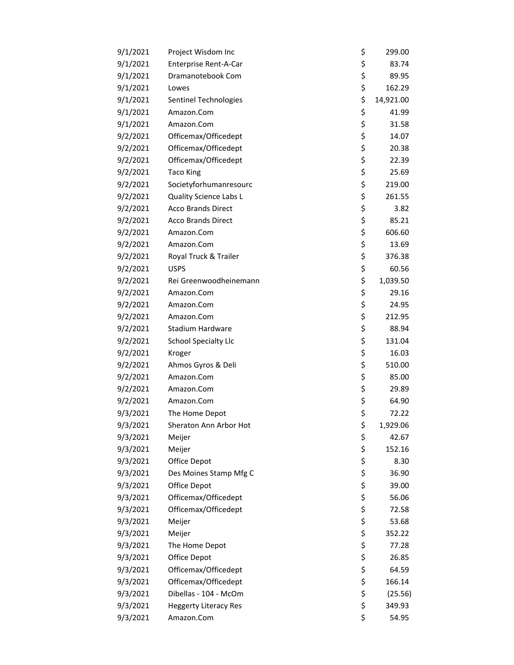| 9/1/2021 | Project Wisdom Inc           | \$<br>299.00    |
|----------|------------------------------|-----------------|
| 9/1/2021 | Enterprise Rent-A-Car        | \$<br>83.74     |
| 9/1/2021 | Dramanotebook Com            | \$<br>89.95     |
| 9/1/2021 | Lowes                        | \$<br>162.29    |
| 9/1/2021 | Sentinel Technologies        | \$<br>14,921.00 |
| 9/1/2021 | Amazon.Com                   | \$<br>41.99     |
| 9/1/2021 | Amazon.Com                   | \$<br>31.58     |
| 9/2/2021 | Officemax/Officedept         | \$<br>14.07     |
| 9/2/2021 | Officemax/Officedept         | \$<br>20.38     |
| 9/2/2021 | Officemax/Officedept         | \$<br>22.39     |
| 9/2/2021 | <b>Taco King</b>             | \$<br>25.69     |
| 9/2/2021 | Societyforhumanresourc       | \$<br>219.00    |
| 9/2/2021 | Quality Science Labs L       | \$<br>261.55    |
| 9/2/2021 | <b>Acco Brands Direct</b>    | \$<br>3.82      |
| 9/2/2021 | <b>Acco Brands Direct</b>    | \$<br>85.21     |
| 9/2/2021 | Amazon.Com                   | \$<br>606.60    |
| 9/2/2021 | Amazon.Com                   | \$<br>13.69     |
| 9/2/2021 | Royal Truck & Trailer        | \$<br>376.38    |
| 9/2/2021 | <b>USPS</b>                  | \$<br>60.56     |
| 9/2/2021 | Rei Greenwoodheinemann       | \$<br>1,039.50  |
| 9/2/2021 | Amazon.Com                   | \$<br>29.16     |
| 9/2/2021 | Amazon.Com                   | \$<br>24.95     |
| 9/2/2021 | Amazon.Com                   | \$<br>212.95    |
| 9/2/2021 | Stadium Hardware             | \$<br>88.94     |
| 9/2/2021 | <b>School Specialty Llc</b>  | \$<br>131.04    |
| 9/2/2021 | Kroger                       | \$<br>16.03     |
| 9/2/2021 | Ahmos Gyros & Deli           | \$<br>510.00    |
| 9/2/2021 | Amazon.Com                   | \$<br>85.00     |
| 9/2/2021 | Amazon.Com                   | \$<br>29.89     |
| 9/2/2021 | Amazon.Com                   | \$<br>64.90     |
| 9/3/2021 | The Home Depot               | \$<br>72.22     |
| 9/3/2021 | Sheraton Ann Arbor Hot       | \$<br>1,929.06  |
| 9/3/2021 | Meijer                       | \$<br>42.67     |
| 9/3/2021 | Meijer                       | \$<br>152.16    |
| 9/3/2021 | Office Depot                 | \$<br>8.30      |
| 9/3/2021 | Des Moines Stamp Mfg C       | \$<br>36.90     |
| 9/3/2021 | Office Depot                 | \$<br>39.00     |
| 9/3/2021 | Officemax/Officedept         | \$<br>56.06     |
| 9/3/2021 | Officemax/Officedept         | \$<br>72.58     |
| 9/3/2021 | Meijer                       | \$<br>53.68     |
| 9/3/2021 | Meijer                       | \$<br>352.22    |
| 9/3/2021 | The Home Depot               | \$<br>77.28     |
| 9/3/2021 | Office Depot                 | \$<br>26.85     |
| 9/3/2021 | Officemax/Officedept         | \$<br>64.59     |
| 9/3/2021 | Officemax/Officedept         | \$<br>166.14    |
| 9/3/2021 | Dibellas - 104 - McOm        | \$<br>(25.56)   |
| 9/3/2021 | <b>Heggerty Literacy Res</b> | \$<br>349.93    |
| 9/3/2021 | Amazon.Com                   | \$<br>54.95     |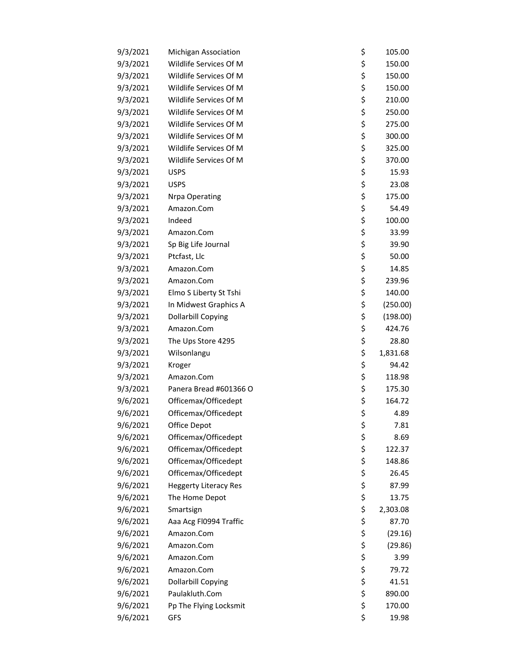| 9/3/2021 | <b>Michigan Association</b>  | \$<br>105.00   |
|----------|------------------------------|----------------|
| 9/3/2021 | Wildlife Services Of M       | \$<br>150.00   |
| 9/3/2021 | Wildlife Services Of M       | \$<br>150.00   |
| 9/3/2021 | Wildlife Services Of M       | \$<br>150.00   |
| 9/3/2021 | Wildlife Services Of M       | \$<br>210.00   |
| 9/3/2021 | Wildlife Services Of M       | \$<br>250.00   |
| 9/3/2021 | Wildlife Services Of M       | \$<br>275.00   |
| 9/3/2021 | Wildlife Services Of M       | \$<br>300.00   |
| 9/3/2021 | Wildlife Services Of M       | \$<br>325.00   |
| 9/3/2021 | Wildlife Services Of M       | \$<br>370.00   |
| 9/3/2021 | <b>USPS</b>                  | \$<br>15.93    |
| 9/3/2021 | <b>USPS</b>                  | \$<br>23.08    |
| 9/3/2021 | <b>Nrpa Operating</b>        | \$<br>175.00   |
| 9/3/2021 | Amazon.Com                   | \$<br>54.49    |
| 9/3/2021 | Indeed                       | \$<br>100.00   |
| 9/3/2021 | Amazon.Com                   | \$<br>33.99    |
| 9/3/2021 | Sp Big Life Journal          | \$<br>39.90    |
| 9/3/2021 | Ptcfast, Llc                 | \$<br>50.00    |
| 9/3/2021 | Amazon.Com                   | \$<br>14.85    |
| 9/3/2021 | Amazon.Com                   | \$<br>239.96   |
| 9/3/2021 | Elmo S Liberty St Tshi       | \$<br>140.00   |
| 9/3/2021 | In Midwest Graphics A        | \$<br>(250.00) |
| 9/3/2021 | <b>Dollarbill Copying</b>    | \$<br>(198.00) |
| 9/3/2021 | Amazon.Com                   | \$<br>424.76   |
| 9/3/2021 | The Ups Store 4295           | \$<br>28.80    |
| 9/3/2021 | Wilsonlangu                  | \$<br>1,831.68 |
| 9/3/2021 | Kroger                       | \$<br>94.42    |
| 9/3/2021 | Amazon.Com                   | \$<br>118.98   |
| 9/3/2021 | Panera Bread #601366 O       | \$<br>175.30   |
| 9/6/2021 | Officemax/Officedept         | \$<br>164.72   |
| 9/6/2021 | Officemax/Officedept         | \$<br>4.89     |
| 9/6/2021 | Office Depot                 | \$<br>7.81     |
| 9/6/2021 | Officemax/Officedept         | \$<br>8.69     |
| 9/6/2021 | Officemax/Officedept         | \$<br>122.37   |
| 9/6/2021 | Officemax/Officedept         | \$<br>148.86   |
| 9/6/2021 | Officemax/Officedept         | \$<br>26.45    |
| 9/6/2021 | <b>Heggerty Literacy Res</b> | \$<br>87.99    |
| 9/6/2021 | The Home Depot               | \$<br>13.75    |
| 9/6/2021 | Smartsign                    | \$<br>2,303.08 |
| 9/6/2021 | Aaa Acg Fl0994 Traffic       | \$<br>87.70    |
| 9/6/2021 | Amazon.Com                   | \$<br>(29.16)  |
| 9/6/2021 | Amazon.Com                   | \$<br>(29.86)  |
| 9/6/2021 | Amazon.Com                   | \$<br>3.99     |
| 9/6/2021 | Amazon.Com                   | \$<br>79.72    |
| 9/6/2021 | <b>Dollarbill Copying</b>    | \$<br>41.51    |
| 9/6/2021 | Paulakluth.Com               | \$<br>890.00   |
| 9/6/2021 | Pp The Flying Locksmit       | \$<br>170.00   |
| 9/6/2021 | GFS                          | \$<br>19.98    |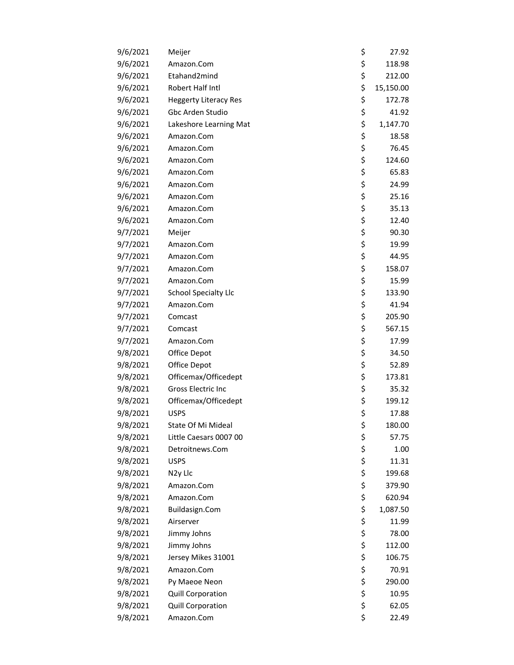| 9/6/2021 | Meijer                       | \$<br>27.92     |
|----------|------------------------------|-----------------|
| 9/6/2021 | Amazon.Com                   | \$<br>118.98    |
| 9/6/2021 | Etahand2mind                 | \$<br>212.00    |
| 9/6/2021 | Robert Half Intl             | \$<br>15,150.00 |
| 9/6/2021 | <b>Heggerty Literacy Res</b> | \$<br>172.78    |
| 9/6/2021 | Gbc Arden Studio             | \$<br>41.92     |
| 9/6/2021 | Lakeshore Learning Mat       | \$<br>1,147.70  |
| 9/6/2021 | Amazon.Com                   | \$<br>18.58     |
| 9/6/2021 | Amazon.Com                   | \$<br>76.45     |
| 9/6/2021 | Amazon.Com                   | \$<br>124.60    |
| 9/6/2021 | Amazon.Com                   | \$<br>65.83     |
| 9/6/2021 | Amazon.Com                   | \$<br>24.99     |
| 9/6/2021 | Amazon.Com                   | \$<br>25.16     |
| 9/6/2021 | Amazon.Com                   | \$<br>35.13     |
| 9/6/2021 | Amazon.Com                   | \$<br>12.40     |
| 9/7/2021 | Meijer                       | \$<br>90.30     |
| 9/7/2021 | Amazon.Com                   | \$<br>19.99     |
| 9/7/2021 | Amazon.Com                   | \$<br>44.95     |
| 9/7/2021 | Amazon.Com                   | \$<br>158.07    |
| 9/7/2021 | Amazon.Com                   | \$<br>15.99     |
| 9/7/2021 | <b>School Specialty Llc</b>  | \$<br>133.90    |
| 9/7/2021 | Amazon.Com                   | \$<br>41.94     |
| 9/7/2021 | Comcast                      | \$<br>205.90    |
| 9/7/2021 | Comcast                      | \$<br>567.15    |
| 9/7/2021 | Amazon.Com                   | \$<br>17.99     |
| 9/8/2021 | Office Depot                 | \$<br>34.50     |
| 9/8/2021 | Office Depot                 | \$<br>52.89     |
| 9/8/2021 | Officemax/Officedept         | \$<br>173.81    |
| 9/8/2021 | Gross Electric Inc           | \$<br>35.32     |
| 9/8/2021 | Officemax/Officedept         | \$<br>199.12    |
| 9/8/2021 | <b>USPS</b>                  | \$<br>17.88     |
| 9/8/2021 | State Of Mi Mideal           | \$<br>180.00    |
| 9/8/2021 | Little Caesars 0007 00       | \$<br>57.75     |
| 9/8/2021 | Detroitnews.Com              | \$<br>1.00      |
| 9/8/2021 | <b>USPS</b>                  | \$<br>11.31     |
| 9/8/2021 | N <sub>2y</sub> Llc          | \$<br>199.68    |
| 9/8/2021 | Amazon.Com                   | \$<br>379.90    |
| 9/8/2021 | Amazon.Com                   | \$<br>620.94    |
| 9/8/2021 | Buildasign.Com               | \$<br>1,087.50  |
| 9/8/2021 | Airserver                    | \$<br>11.99     |
| 9/8/2021 | Jimmy Johns                  | \$<br>78.00     |
| 9/8/2021 | Jimmy Johns                  | \$<br>112.00    |
| 9/8/2021 | Jersey Mikes 31001           | \$<br>106.75    |
| 9/8/2021 | Amazon.Com                   | \$<br>70.91     |
| 9/8/2021 | Py Maeoe Neon                | \$<br>290.00    |
| 9/8/2021 | <b>Quill Corporation</b>     | \$<br>10.95     |
| 9/8/2021 | <b>Quill Corporation</b>     | \$<br>62.05     |
| 9/8/2021 | Amazon.Com                   | \$<br>22.49     |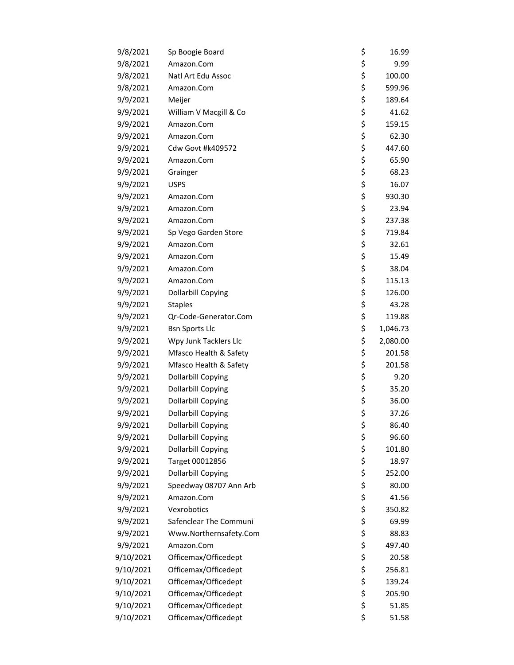| 9/8/2021  | Sp Boogie Board           | \$<br>16.99    |
|-----------|---------------------------|----------------|
| 9/8/2021  | Amazon.Com                | \$<br>9.99     |
| 9/8/2021  | Natl Art Edu Assoc        | \$<br>100.00   |
| 9/8/2021  | Amazon.Com                | \$<br>599.96   |
| 9/9/2021  | Meijer                    | \$<br>189.64   |
| 9/9/2021  | William V Macgill & Co    | \$<br>41.62    |
| 9/9/2021  | Amazon.Com                | \$<br>159.15   |
| 9/9/2021  | Amazon.Com                | \$<br>62.30    |
| 9/9/2021  | <b>Cdw Govt #k409572</b>  | \$<br>447.60   |
| 9/9/2021  | Amazon.Com                | \$<br>65.90    |
| 9/9/2021  | Grainger                  | \$<br>68.23    |
| 9/9/2021  | <b>USPS</b>               | \$<br>16.07    |
| 9/9/2021  | Amazon.Com                | \$<br>930.30   |
| 9/9/2021  | Amazon.Com                | \$<br>23.94    |
| 9/9/2021  | Amazon.Com                | \$<br>237.38   |
| 9/9/2021  | Sp Vego Garden Store      | \$<br>719.84   |
| 9/9/2021  | Amazon.Com                | \$<br>32.61    |
| 9/9/2021  | Amazon.Com                | \$<br>15.49    |
| 9/9/2021  | Amazon.Com                | \$<br>38.04    |
| 9/9/2021  | Amazon.Com                | \$<br>115.13   |
| 9/9/2021  | <b>Dollarbill Copying</b> | \$<br>126.00   |
| 9/9/2021  | <b>Staples</b>            | \$<br>43.28    |
| 9/9/2021  | Qr-Code-Generator.Com     | \$<br>119.88   |
| 9/9/2021  | <b>Bsn Sports Llc</b>     | \$<br>1,046.73 |
| 9/9/2021  | Wpy Junk Tacklers Llc     | \$<br>2,080.00 |
| 9/9/2021  | Mfasco Health & Safety    | \$<br>201.58   |
| 9/9/2021  | Mfasco Health & Safety    | \$<br>201.58   |
| 9/9/2021  | <b>Dollarbill Copying</b> | \$<br>9.20     |
| 9/9/2021  | <b>Dollarbill Copying</b> | \$<br>35.20    |
| 9/9/2021  | <b>Dollarbill Copying</b> | \$<br>36.00    |
| 9/9/2021  | <b>Dollarbill Copying</b> | \$<br>37.26    |
| 9/9/2021  | Dollarbill Copying        | \$<br>86.40    |
| 9/9/2021  | <b>Dollarbill Copying</b> | \$<br>96.60    |
| 9/9/2021  | <b>Dollarbill Copying</b> | \$<br>101.80   |
| 9/9/2021  | Target 00012856           | \$<br>18.97    |
| 9/9/2021  | <b>Dollarbill Copying</b> | \$<br>252.00   |
| 9/9/2021  | Speedway 08707 Ann Arb    | \$<br>80.00    |
| 9/9/2021  | Amazon.Com                | \$<br>41.56    |
| 9/9/2021  | Vexrobotics               | \$<br>350.82   |
| 9/9/2021  | Safenclear The Communi    | \$<br>69.99    |
| 9/9/2021  | Www.Northernsafety.Com    | \$<br>88.83    |
| 9/9/2021  | Amazon.Com                | \$<br>497.40   |
| 9/10/2021 | Officemax/Officedept      | \$<br>20.58    |
| 9/10/2021 | Officemax/Officedept      | \$<br>256.81   |
| 9/10/2021 | Officemax/Officedept      | \$<br>139.24   |
| 9/10/2021 | Officemax/Officedept      | \$<br>205.90   |
| 9/10/2021 | Officemax/Officedept      | \$<br>51.85    |
| 9/10/2021 | Officemax/Officedept      | \$<br>51.58    |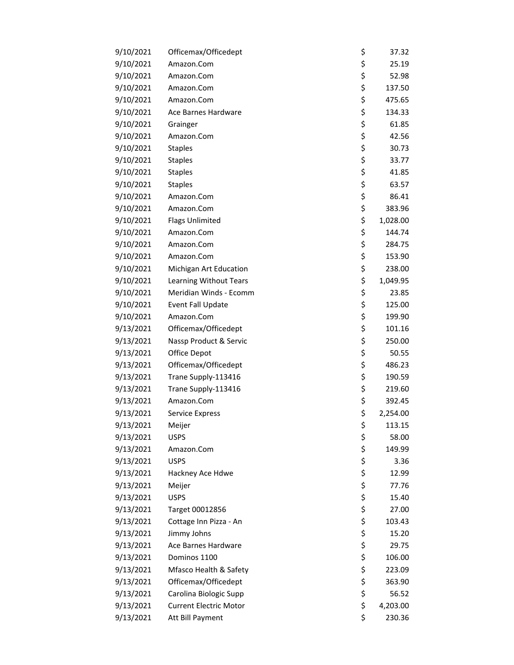| 9/10/2021 | Officemax/Officedept          | \$<br>37.32    |
|-----------|-------------------------------|----------------|
| 9/10/2021 | Amazon.Com                    | \$<br>25.19    |
| 9/10/2021 | Amazon.Com                    | \$<br>52.98    |
| 9/10/2021 | Amazon.Com                    | \$<br>137.50   |
| 9/10/2021 | Amazon.Com                    | \$<br>475.65   |
| 9/10/2021 | Ace Barnes Hardware           | \$<br>134.33   |
| 9/10/2021 | Grainger                      | \$<br>61.85    |
| 9/10/2021 | Amazon.Com                    | \$<br>42.56    |
| 9/10/2021 | <b>Staples</b>                | \$<br>30.73    |
| 9/10/2021 | <b>Staples</b>                | \$<br>33.77    |
| 9/10/2021 | <b>Staples</b>                | \$<br>41.85    |
| 9/10/2021 | <b>Staples</b>                | \$<br>63.57    |
| 9/10/2021 | Amazon.Com                    | \$<br>86.41    |
| 9/10/2021 | Amazon.Com                    | \$<br>383.96   |
| 9/10/2021 | <b>Flags Unlimited</b>        | \$<br>1,028.00 |
| 9/10/2021 | Amazon.Com                    | \$<br>144.74   |
| 9/10/2021 | Amazon.Com                    | \$<br>284.75   |
| 9/10/2021 | Amazon.Com                    | \$<br>153.90   |
| 9/10/2021 | Michigan Art Education        | \$<br>238.00   |
| 9/10/2021 | Learning Without Tears        | \$<br>1,049.95 |
| 9/10/2021 | Meridian Winds - Ecomm        | \$<br>23.85    |
| 9/10/2021 | <b>Event Fall Update</b>      | \$<br>125.00   |
| 9/10/2021 | Amazon.Com                    | \$<br>199.90   |
| 9/13/2021 | Officemax/Officedept          | \$<br>101.16   |
| 9/13/2021 | Nassp Product & Servic        | \$<br>250.00   |
| 9/13/2021 | Office Depot                  | \$<br>50.55    |
| 9/13/2021 | Officemax/Officedept          | \$<br>486.23   |
| 9/13/2021 | Trane Supply-113416           | \$<br>190.59   |
| 9/13/2021 | Trane Supply-113416           | \$<br>219.60   |
| 9/13/2021 | Amazon.Com                    | \$<br>392.45   |
| 9/13/2021 | <b>Service Express</b>        | \$<br>2,254.00 |
| 9/13/2021 | Meijer                        | \$<br>113.15   |
| 9/13/2021 | <b>USPS</b>                   | \$<br>58.00    |
| 9/13/2021 | Amazon.Com                    | \$<br>149.99   |
| 9/13/2021 | <b>USPS</b>                   | \$<br>3.36     |
| 9/13/2021 | Hackney Ace Hdwe              | \$<br>12.99    |
| 9/13/2021 | Meijer                        | \$<br>77.76    |
| 9/13/2021 | <b>USPS</b>                   | \$<br>15.40    |
| 9/13/2021 | Target 00012856               | \$<br>27.00    |
| 9/13/2021 | Cottage Inn Pizza - An        | \$<br>103.43   |
| 9/13/2021 | Jimmy Johns                   | \$<br>15.20    |
| 9/13/2021 | Ace Barnes Hardware           | \$<br>29.75    |
| 9/13/2021 | Dominos 1100                  | \$<br>106.00   |
| 9/13/2021 | Mfasco Health & Safety        | \$<br>223.09   |
| 9/13/2021 | Officemax/Officedept          | \$<br>363.90   |
| 9/13/2021 | Carolina Biologic Supp        | \$<br>56.52    |
| 9/13/2021 | <b>Current Electric Motor</b> | \$<br>4,203.00 |
| 9/13/2021 | Att Bill Payment              | \$<br>230.36   |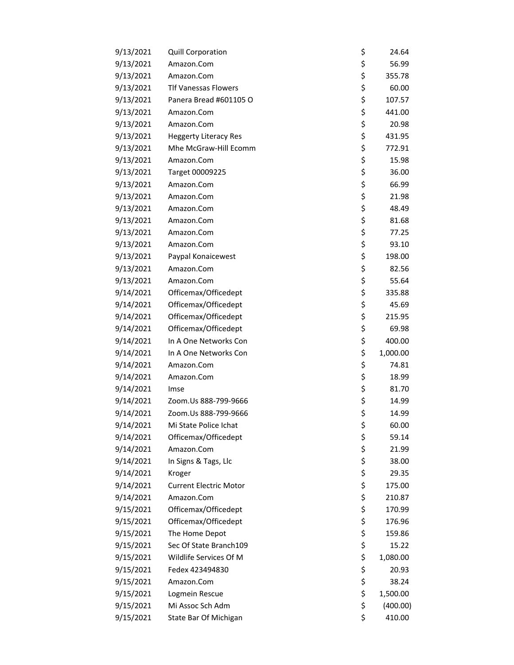| 9/13/2021 | <b>Quill Corporation</b>      | \$<br>24.64    |
|-----------|-------------------------------|----------------|
| 9/13/2021 | Amazon.Com                    | \$<br>56.99    |
| 9/13/2021 | Amazon.Com                    | \$<br>355.78   |
| 9/13/2021 | <b>Tlf Vanessas Flowers</b>   | \$<br>60.00    |
| 9/13/2021 | Panera Bread #601105 O        | \$<br>107.57   |
| 9/13/2021 | Amazon.Com                    | \$<br>441.00   |
| 9/13/2021 | Amazon.Com                    | \$<br>20.98    |
| 9/13/2021 | <b>Heggerty Literacy Res</b>  | \$<br>431.95   |
| 9/13/2021 | Mhe McGraw-Hill Ecomm         | \$<br>772.91   |
| 9/13/2021 | Amazon.Com                    | \$<br>15.98    |
| 9/13/2021 | Target 00009225               | \$<br>36.00    |
| 9/13/2021 | Amazon.Com                    | \$<br>66.99    |
| 9/13/2021 | Amazon.Com                    | \$<br>21.98    |
| 9/13/2021 | Amazon.Com                    | \$<br>48.49    |
| 9/13/2021 | Amazon.Com                    | \$<br>81.68    |
| 9/13/2021 | Amazon.Com                    | \$<br>77.25    |
| 9/13/2021 | Amazon.Com                    | \$<br>93.10    |
| 9/13/2021 | Paypal Konaicewest            | \$<br>198.00   |
| 9/13/2021 | Amazon.Com                    | \$<br>82.56    |
| 9/13/2021 | Amazon.Com                    | \$<br>55.64    |
| 9/14/2021 | Officemax/Officedept          | \$<br>335.88   |
| 9/14/2021 | Officemax/Officedept          | \$<br>45.69    |
| 9/14/2021 | Officemax/Officedept          | \$<br>215.95   |
| 9/14/2021 | Officemax/Officedept          | \$<br>69.98    |
| 9/14/2021 | In A One Networks Con         | \$<br>400.00   |
| 9/14/2021 | In A One Networks Con         | \$<br>1,000.00 |
| 9/14/2021 | Amazon.Com                    | \$<br>74.81    |
| 9/14/2021 | Amazon.Com                    | \$<br>18.99    |
| 9/14/2021 | Imse                          | \$<br>81.70    |
| 9/14/2021 | Zoom.Us 888-799-9666          | \$<br>14.99    |
| 9/14/2021 | Zoom.Us 888-799-9666          | \$<br>14.99    |
| 9/14/2021 | Mi State Police Ichat         | \$<br>60.00    |
| 9/14/2021 | Officemax/Officedept          | \$<br>59.14    |
| 9/14/2021 | Amazon.Com                    | \$<br>21.99    |
| 9/14/2021 | In Signs & Tags, Llc          | \$<br>38.00    |
| 9/14/2021 | Kroger                        | \$<br>29.35    |
| 9/14/2021 | <b>Current Electric Motor</b> | \$<br>175.00   |
| 9/14/2021 | Amazon.Com                    | \$<br>210.87   |
| 9/15/2021 | Officemax/Officedept          | \$<br>170.99   |
| 9/15/2021 | Officemax/Officedept          | \$<br>176.96   |
| 9/15/2021 | The Home Depot                | \$<br>159.86   |
| 9/15/2021 | Sec Of State Branch109        | \$<br>15.22    |
| 9/15/2021 | Wildlife Services Of M        | \$<br>1,080.00 |
| 9/15/2021 | Fedex 423494830               | \$<br>20.93    |
| 9/15/2021 | Amazon.Com                    | \$<br>38.24    |
| 9/15/2021 | Logmein Rescue                | \$<br>1,500.00 |
| 9/15/2021 | Mi Assoc Sch Adm              | \$<br>(400.00) |
| 9/15/2021 | State Bar Of Michigan         | \$<br>410.00   |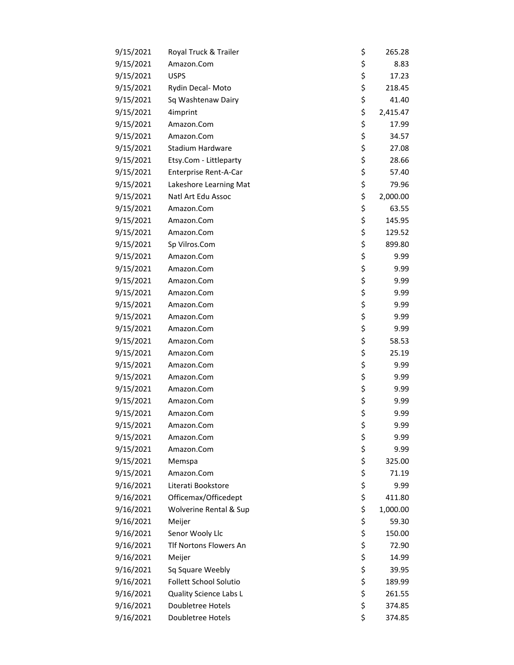| 9/15/2021 | Royal Truck & Trailer  | \$<br>265.28   |
|-----------|------------------------|----------------|
| 9/15/2021 | Amazon.Com             | \$<br>8.83     |
| 9/15/2021 | <b>USPS</b>            | \$<br>17.23    |
| 9/15/2021 | Rydin Decal-Moto       | \$<br>218.45   |
| 9/15/2021 | Sq Washtenaw Dairy     | \$<br>41.40    |
| 9/15/2021 | 4imprint               | \$<br>2,415.47 |
| 9/15/2021 | Amazon.Com             | \$<br>17.99    |
| 9/15/2021 | Amazon.Com             | \$<br>34.57    |
| 9/15/2021 | Stadium Hardware       | \$<br>27.08    |
| 9/15/2021 | Etsy.Com - Littleparty | \$<br>28.66    |
| 9/15/2021 | Enterprise Rent-A-Car  | \$<br>57.40    |
| 9/15/2021 | Lakeshore Learning Mat | \$<br>79.96    |
| 9/15/2021 | Natl Art Edu Assoc     | \$<br>2,000.00 |
| 9/15/2021 | Amazon.Com             | \$<br>63.55    |
| 9/15/2021 | Amazon.Com             | \$<br>145.95   |
| 9/15/2021 | Amazon.Com             | \$<br>129.52   |
| 9/15/2021 | Sp Vilros.Com          | \$<br>899.80   |
| 9/15/2021 | Amazon.Com             | \$<br>9.99     |
| 9/15/2021 | Amazon.Com             | \$<br>9.99     |
| 9/15/2021 | Amazon.Com             | \$<br>9.99     |
| 9/15/2021 | Amazon.Com             | \$<br>9.99     |
| 9/15/2021 | Amazon.Com             | \$<br>9.99     |
| 9/15/2021 | Amazon.Com             | \$<br>9.99     |
| 9/15/2021 | Amazon.Com             | \$<br>9.99     |
| 9/15/2021 | Amazon.Com             | \$<br>58.53    |
| 9/15/2021 | Amazon.Com             | \$<br>25.19    |
| 9/15/2021 | Amazon.Com             | \$<br>9.99     |
| 9/15/2021 | Amazon.Com             | \$<br>9.99     |
| 9/15/2021 | Amazon.Com             | \$<br>9.99     |
| 9/15/2021 | Amazon.Com             | \$<br>9.99     |
| 9/15/2021 | Amazon.Com             | \$<br>9.99     |
| 9/15/2021 | Amazon.Com             | \$<br>9.99     |
| 9/15/2021 | Amazon.Com             | \$<br>9.99     |
| 9/15/2021 | Amazon.Com             | \$<br>9.99     |
| 9/15/2021 | Memspa                 | \$<br>325.00   |
| 9/15/2021 | Amazon.Com             | \$<br>71.19    |
| 9/16/2021 | Literati Bookstore     | \$<br>9.99     |
| 9/16/2021 | Officemax/Officedept   | \$<br>411.80   |
| 9/16/2021 | Wolverine Rental & Sup | \$<br>1,000.00 |
| 9/16/2021 | Meijer                 | \$<br>59.30    |
| 9/16/2021 | Senor Wooly Llc        | \$<br>150.00   |
| 9/16/2021 | Tlf Nortons Flowers An | \$<br>72.90    |
| 9/16/2021 | Meijer                 | \$<br>14.99    |
| 9/16/2021 | Sq Square Weebly       | \$<br>39.95    |
| 9/16/2021 | Follett School Solutio | \$<br>189.99   |
| 9/16/2021 | Quality Science Labs L | \$<br>261.55   |
| 9/16/2021 | Doubletree Hotels      | \$<br>374.85   |
| 9/16/2021 | Doubletree Hotels      | \$<br>374.85   |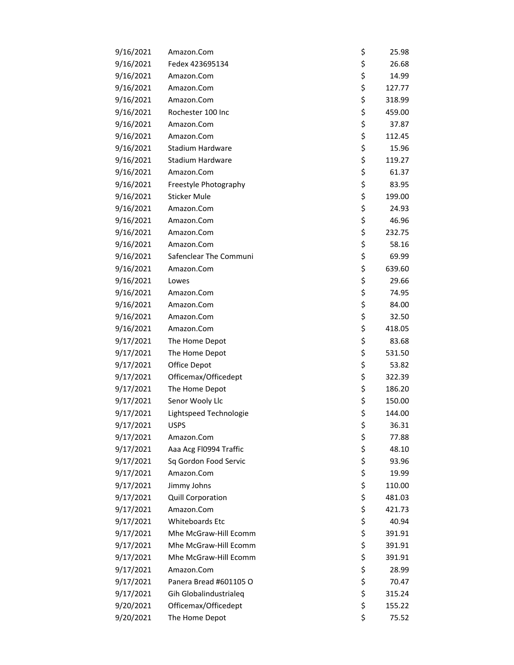| 9/16/2021 | Amazon.Com             | \$<br>25.98  |
|-----------|------------------------|--------------|
| 9/16/2021 | Fedex 423695134        | \$<br>26.68  |
| 9/16/2021 | Amazon.Com             | \$<br>14.99  |
| 9/16/2021 | Amazon.Com             | \$<br>127.77 |
| 9/16/2021 | Amazon.Com             | \$<br>318.99 |
| 9/16/2021 | Rochester 100 Inc      | \$<br>459.00 |
| 9/16/2021 | Amazon.Com             | \$<br>37.87  |
| 9/16/2021 | Amazon.Com             | \$<br>112.45 |
| 9/16/2021 | Stadium Hardware       | \$<br>15.96  |
| 9/16/2021 | Stadium Hardware       | \$<br>119.27 |
| 9/16/2021 | Amazon.Com             | \$<br>61.37  |
| 9/16/2021 | Freestyle Photography  | \$<br>83.95  |
| 9/16/2021 | <b>Sticker Mule</b>    | \$<br>199.00 |
| 9/16/2021 | Amazon.Com             | \$<br>24.93  |
| 9/16/2021 | Amazon.Com             | \$<br>46.96  |
| 9/16/2021 | Amazon.Com             | \$<br>232.75 |
| 9/16/2021 | Amazon.Com             | \$<br>58.16  |
| 9/16/2021 | Safenclear The Communi | \$<br>69.99  |
| 9/16/2021 | Amazon.Com             | \$<br>639.60 |
| 9/16/2021 | Lowes                  | \$<br>29.66  |
| 9/16/2021 | Amazon.Com             | \$<br>74.95  |
| 9/16/2021 | Amazon.Com             | \$<br>84.00  |
| 9/16/2021 | Amazon.Com             | \$<br>32.50  |
| 9/16/2021 | Amazon.Com             | \$<br>418.05 |
| 9/17/2021 | The Home Depot         | \$<br>83.68  |
| 9/17/2021 | The Home Depot         | \$<br>531.50 |
| 9/17/2021 | Office Depot           | \$<br>53.82  |
| 9/17/2021 | Officemax/Officedept   | \$<br>322.39 |
| 9/17/2021 | The Home Depot         | \$<br>186.20 |
| 9/17/2021 | Senor Wooly Llc        | \$<br>150.00 |
| 9/17/2021 | Lightspeed Technologie | \$<br>144.00 |
| 9/17/2021 | <b>USPS</b>            | \$<br>36.31  |
| 9/17/2021 | Amazon.Com             | \$<br>77.88  |
| 9/17/2021 | Aaa Acg FI0994 Traffic | \$<br>48.10  |
| 9/17/2021 | Sq Gordon Food Servic  | \$<br>93.96  |
| 9/17/2021 | Amazon.Com             | \$<br>19.99  |
| 9/17/2021 | Jimmy Johns            | \$<br>110.00 |
| 9/17/2021 | Quill Corporation      | \$<br>481.03 |
| 9/17/2021 | Amazon.Com             | \$<br>421.73 |
| 9/17/2021 | <b>Whiteboards Etc</b> | \$<br>40.94  |
| 9/17/2021 | Mhe McGraw-Hill Ecomm  | \$<br>391.91 |
| 9/17/2021 | Mhe McGraw-Hill Ecomm  | \$<br>391.91 |
| 9/17/2021 | Mhe McGraw-Hill Ecomm  | \$<br>391.91 |
| 9/17/2021 | Amazon.Com             | \$<br>28.99  |
| 9/17/2021 | Panera Bread #601105 O | \$<br>70.47  |
| 9/17/2021 | Gih Globalindustrialeq | \$<br>315.24 |
| 9/20/2021 | Officemax/Officedept   | \$<br>155.22 |
| 9/20/2021 | The Home Depot         | \$<br>75.52  |
|           |                        |              |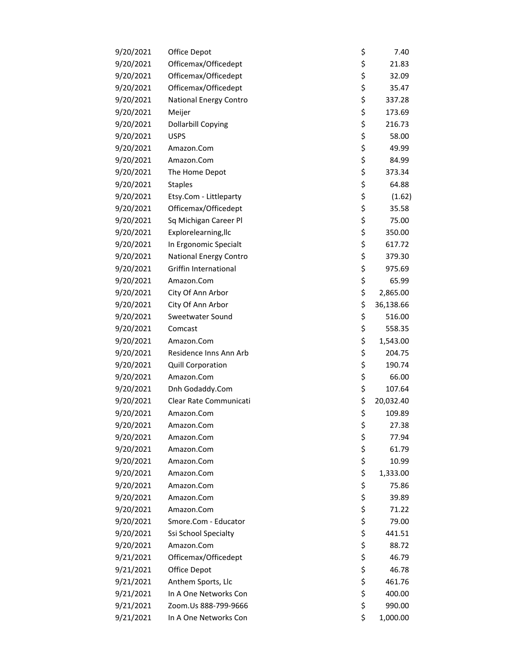| 9/20/2021 | Office Depot                 | \$<br>7.40      |
|-----------|------------------------------|-----------------|
| 9/20/2021 | Officemax/Officedept         | \$<br>21.83     |
| 9/20/2021 | Officemax/Officedept         | \$<br>32.09     |
| 9/20/2021 | Officemax/Officedept         | \$<br>35.47     |
| 9/20/2021 | National Energy Contro       | \$<br>337.28    |
| 9/20/2021 | Meijer                       | \$<br>173.69    |
| 9/20/2021 | Dollarbill Copying           | \$<br>216.73    |
| 9/20/2021 | <b>USPS</b>                  | \$<br>58.00     |
| 9/20/2021 | Amazon.Com                   | \$<br>49.99     |
| 9/20/2021 | Amazon.Com                   | \$<br>84.99     |
| 9/20/2021 | The Home Depot               | \$<br>373.34    |
| 9/20/2021 | <b>Staples</b>               | \$<br>64.88     |
| 9/20/2021 | Etsy.Com - Littleparty       | \$<br>(1.62)    |
| 9/20/2021 | Officemax/Officedept         | \$<br>35.58     |
| 9/20/2021 | Sq Michigan Career Pl        | \$<br>75.00     |
| 9/20/2021 | Explorelearning, Ilc         | \$<br>350.00    |
| 9/20/2021 | In Ergonomic Specialt        | \$<br>617.72    |
| 9/20/2021 | National Energy Contro       | \$<br>379.30    |
| 9/20/2021 | <b>Griffin International</b> | \$<br>975.69    |
| 9/20/2021 | Amazon.Com                   | \$<br>65.99     |
| 9/20/2021 | City Of Ann Arbor            | \$<br>2,865.00  |
| 9/20/2021 | City Of Ann Arbor            | \$<br>36,138.66 |
| 9/20/2021 | Sweetwater Sound             | \$<br>516.00    |
| 9/20/2021 | Comcast                      | \$<br>558.35    |
| 9/20/2021 | Amazon.Com                   | \$<br>1,543.00  |
| 9/20/2021 | Residence Inns Ann Arb       | \$<br>204.75    |
| 9/20/2021 | <b>Quill Corporation</b>     | \$<br>190.74    |
| 9/20/2021 | Amazon.Com                   | \$<br>66.00     |
| 9/20/2021 | Dnh Godaddy.Com              | \$<br>107.64    |
| 9/20/2021 | Clear Rate Communicati       | \$<br>20,032.40 |
| 9/20/2021 | Amazon.Com                   | \$<br>109.89    |
| 9/20/2021 | Amazon.Com                   | \$<br>27.38     |
| 9/20/2021 | Amazon.Com                   | \$<br>77.94     |
| 9/20/2021 | Amazon.Com                   | \$<br>61.79     |
| 9/20/2021 | Amazon.Com                   | \$<br>10.99     |
| 9/20/2021 | Amazon.Com                   | \$<br>1,333.00  |
| 9/20/2021 | Amazon.Com                   | \$<br>75.86     |
| 9/20/2021 | Amazon.Com                   | \$<br>39.89     |
| 9/20/2021 | Amazon.Com                   | \$<br>71.22     |
| 9/20/2021 | Smore.Com - Educator         | \$<br>79.00     |
| 9/20/2021 | Ssi School Specialty         | \$<br>441.51    |
| 9/20/2021 | Amazon.Com                   | \$<br>88.72     |
| 9/21/2021 | Officemax/Officedept         | \$<br>46.79     |
| 9/21/2021 | Office Depot                 | \$<br>46.78     |
| 9/21/2021 | Anthem Sports, Llc           | \$<br>461.76    |
| 9/21/2021 | In A One Networks Con        | \$<br>400.00    |
| 9/21/2021 | Zoom.Us 888-799-9666         | \$<br>990.00    |
| 9/21/2021 | In A One Networks Con        | \$<br>1,000.00  |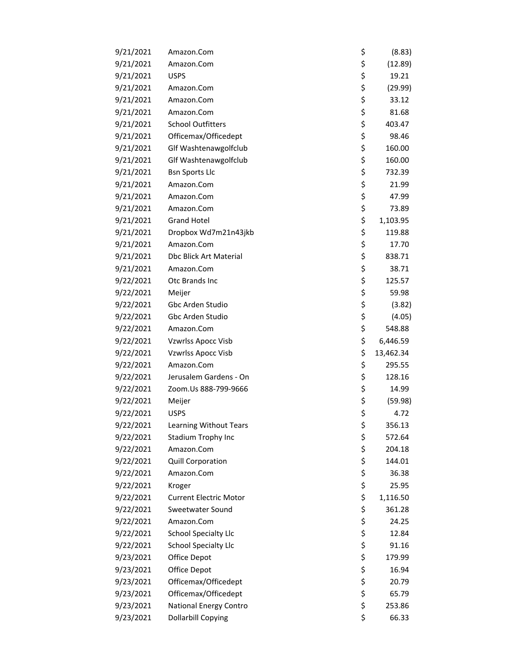| 9/21/2021 | Amazon.Com                    | \$<br>(8.83)    |
|-----------|-------------------------------|-----------------|
| 9/21/2021 | Amazon.Com                    | \$<br>(12.89)   |
| 9/21/2021 | <b>USPS</b>                   | \$<br>19.21     |
| 9/21/2021 | Amazon.Com                    | \$<br>(29.99)   |
| 9/21/2021 | Amazon.Com                    | \$<br>33.12     |
| 9/21/2021 | Amazon.Com                    | \$<br>81.68     |
| 9/21/2021 | <b>School Outfitters</b>      | \$<br>403.47    |
| 9/21/2021 | Officemax/Officedept          | \$<br>98.46     |
| 9/21/2021 | Glf Washtenawgolfclub         | \$<br>160.00    |
| 9/21/2021 | Glf Washtenawgolfclub         | \$<br>160.00    |
| 9/21/2021 | <b>Bsn Sports Llc</b>         | \$<br>732.39    |
| 9/21/2021 | Amazon.Com                    | \$<br>21.99     |
| 9/21/2021 | Amazon.Com                    | \$<br>47.99     |
| 9/21/2021 | Amazon.Com                    | \$<br>73.89     |
| 9/21/2021 | <b>Grand Hotel</b>            | \$<br>1,103.95  |
| 9/21/2021 | Dropbox Wd7m21n43jkb          | \$<br>119.88    |
| 9/21/2021 | Amazon.Com                    | \$<br>17.70     |
| 9/21/2021 | <b>Dbc Blick Art Material</b> | \$<br>838.71    |
| 9/21/2021 | Amazon.Com                    | \$<br>38.71     |
| 9/22/2021 | Otc Brands Inc                | \$<br>125.57    |
| 9/22/2021 | Meijer                        | \$<br>59.98     |
| 9/22/2021 | Gbc Arden Studio              | \$<br>(3.82)    |
| 9/22/2021 | Gbc Arden Studio              | \$<br>(4.05)    |
| 9/22/2021 | Amazon.Com                    | \$<br>548.88    |
| 9/22/2021 | Vzwrlss Apocc Visb            | \$<br>6,446.59  |
| 9/22/2021 | Vzwrlss Apocc Visb            | \$<br>13,462.34 |
| 9/22/2021 | Amazon.Com                    | \$<br>295.55    |
| 9/22/2021 | Jerusalem Gardens - On        | \$<br>128.16    |
| 9/22/2021 | Zoom.Us 888-799-9666          | \$<br>14.99     |
| 9/22/2021 | Meijer                        | \$<br>(59.98)   |
| 9/22/2021 | <b>USPS</b>                   | \$<br>4.72      |
| 9/22/2021 | <b>Learning Without Tears</b> | \$<br>356.13    |
| 9/22/2021 | Stadium Trophy Inc            | \$<br>572.64    |
| 9/22/2021 | Amazon.Com                    | \$<br>204.18    |
| 9/22/2021 | Quill Corporation             | \$<br>144.01    |
| 9/22/2021 | Amazon.Com                    | \$<br>36.38     |
| 9/22/2021 | Kroger                        | \$<br>25.95     |
| 9/22/2021 | <b>Current Electric Motor</b> | \$<br>1,116.50  |
| 9/22/2021 | Sweetwater Sound              | \$<br>361.28    |
| 9/22/2021 | Amazon.Com                    | \$<br>24.25     |
| 9/22/2021 | <b>School Specialty Llc</b>   | \$<br>12.84     |
| 9/22/2021 | <b>School Specialty Llc</b>   | \$<br>91.16     |
| 9/23/2021 | Office Depot                  | \$<br>179.99    |
| 9/23/2021 | Office Depot                  | \$<br>16.94     |
| 9/23/2021 | Officemax/Officedept          | \$<br>20.79     |
| 9/23/2021 | Officemax/Officedept          | \$<br>65.79     |
| 9/23/2021 | National Energy Contro        | \$<br>253.86    |
| 9/23/2021 | <b>Dollarbill Copying</b>     | \$<br>66.33     |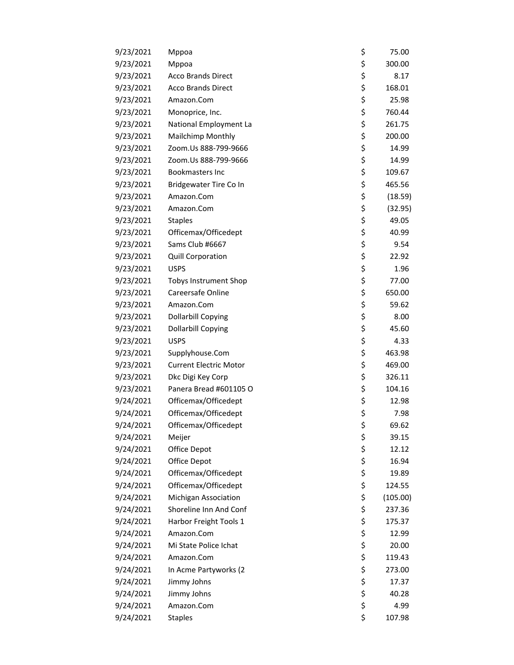| 9/23/2021 | Mppoa                         | \$<br>75.00    |
|-----------|-------------------------------|----------------|
| 9/23/2021 | Mppoa                         | \$<br>300.00   |
| 9/23/2021 | <b>Acco Brands Direct</b>     | \$<br>8.17     |
| 9/23/2021 | <b>Acco Brands Direct</b>     | \$<br>168.01   |
| 9/23/2021 | Amazon.Com                    | \$<br>25.98    |
| 9/23/2021 | Monoprice, Inc.               | \$<br>760.44   |
| 9/23/2021 | National Employment La        | \$<br>261.75   |
| 9/23/2021 | Mailchimp Monthly             | \$<br>200.00   |
| 9/23/2021 | Zoom.Us 888-799-9666          | \$<br>14.99    |
| 9/23/2021 | Zoom.Us 888-799-9666          | \$<br>14.99    |
| 9/23/2021 | <b>Bookmasters Inc</b>        | \$<br>109.67   |
| 9/23/2021 | Bridgewater Tire Co In        | \$<br>465.56   |
| 9/23/2021 | Amazon.Com                    | \$<br>(18.59)  |
| 9/23/2021 | Amazon.Com                    | \$<br>(32.95)  |
| 9/23/2021 | <b>Staples</b>                | \$<br>49.05    |
| 9/23/2021 | Officemax/Officedept          | \$<br>40.99    |
| 9/23/2021 | Sams Club #6667               | \$<br>9.54     |
| 9/23/2021 | <b>Quill Corporation</b>      | \$<br>22.92    |
| 9/23/2021 | <b>USPS</b>                   | \$<br>1.96     |
| 9/23/2021 | <b>Tobys Instrument Shop</b>  | \$<br>77.00    |
| 9/23/2021 | Careersafe Online             | \$<br>650.00   |
| 9/23/2021 | Amazon.Com                    | \$<br>59.62    |
| 9/23/2021 | <b>Dollarbill Copying</b>     | \$<br>8.00     |
| 9/23/2021 | <b>Dollarbill Copying</b>     | \$<br>45.60    |
| 9/23/2021 | <b>USPS</b>                   | \$<br>4.33     |
| 9/23/2021 | Supplyhouse.Com               | \$<br>463.98   |
| 9/23/2021 | <b>Current Electric Motor</b> | \$<br>469.00   |
| 9/23/2021 | Dkc Digi Key Corp             | \$<br>326.11   |
| 9/23/2021 | Panera Bread #601105 O        | \$<br>104.16   |
| 9/24/2021 | Officemax/Officedept          | \$<br>12.98    |
| 9/24/2021 | Officemax/Officedept          | \$<br>7.98     |
| 9/24/2021 | Officemax/Officedept          | \$<br>69.62    |
| 9/24/2021 | Meijer                        | \$<br>39.15    |
| 9/24/2021 | Office Depot                  | \$<br>12.12    |
| 9/24/2021 | Office Depot                  | \$<br>16.94    |
| 9/24/2021 | Officemax/Officedept          | \$<br>19.89    |
| 9/24/2021 | Officemax/Officedept          | \$<br>124.55   |
| 9/24/2021 | Michigan Association          | \$<br>(105.00) |
| 9/24/2021 | Shoreline Inn And Conf        | \$<br>237.36   |
| 9/24/2021 | Harbor Freight Tools 1        | \$<br>175.37   |
| 9/24/2021 | Amazon.Com                    | \$<br>12.99    |
| 9/24/2021 | Mi State Police Ichat         | \$<br>20.00    |
| 9/24/2021 | Amazon.Com                    | \$<br>119.43   |
| 9/24/2021 | In Acme Partyworks (2         | \$<br>273.00   |
| 9/24/2021 | Jimmy Johns                   | \$<br>17.37    |
| 9/24/2021 | Jimmy Johns                   | \$<br>40.28    |
| 9/24/2021 | Amazon.Com                    | \$<br>4.99     |
| 9/24/2021 | <b>Staples</b>                | \$<br>107.98   |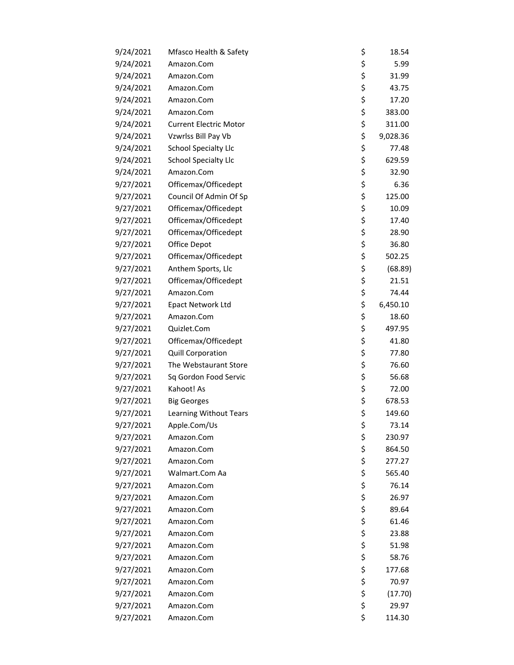| 9/24/2021 | Mfasco Health & Safety        | \$<br>18.54    |
|-----------|-------------------------------|----------------|
| 9/24/2021 | Amazon.Com                    | \$<br>5.99     |
| 9/24/2021 | Amazon.Com                    | \$<br>31.99    |
| 9/24/2021 | Amazon.Com                    | \$<br>43.75    |
| 9/24/2021 | Amazon.Com                    | \$<br>17.20    |
| 9/24/2021 | Amazon.Com                    | \$<br>383.00   |
| 9/24/2021 | <b>Current Electric Motor</b> | \$<br>311.00   |
| 9/24/2021 | Vzwrlss Bill Pay Vb           | \$<br>9,028.36 |
| 9/24/2021 | <b>School Specialty Llc</b>   | \$<br>77.48    |
| 9/24/2021 | <b>School Specialty Llc</b>   | \$<br>629.59   |
| 9/24/2021 | Amazon.Com                    | \$<br>32.90    |
| 9/27/2021 | Officemax/Officedept          | \$<br>6.36     |
| 9/27/2021 | Council Of Admin Of Sp        | \$<br>125.00   |
| 9/27/2021 | Officemax/Officedept          | \$<br>10.09    |
| 9/27/2021 | Officemax/Officedept          | \$<br>17.40    |
| 9/27/2021 | Officemax/Officedept          | \$<br>28.90    |
| 9/27/2021 | Office Depot                  | \$<br>36.80    |
| 9/27/2021 | Officemax/Officedept          | \$<br>502.25   |
| 9/27/2021 | Anthem Sports, Llc            | \$<br>(68.89)  |
| 9/27/2021 | Officemax/Officedept          | \$<br>21.51    |
| 9/27/2021 | Amazon.Com                    | \$<br>74.44    |
| 9/27/2021 | Epact Network Ltd             | \$<br>6,450.10 |
| 9/27/2021 | Amazon.Com                    | \$<br>18.60    |
| 9/27/2021 | Quizlet.Com                   | \$<br>497.95   |
| 9/27/2021 | Officemax/Officedept          | \$<br>41.80    |
| 9/27/2021 | Quill Corporation             | \$<br>77.80    |
| 9/27/2021 | The Webstaurant Store         | \$<br>76.60    |
| 9/27/2021 | Sq Gordon Food Servic         | \$<br>56.68    |
| 9/27/2021 | Kahoot! As                    | \$<br>72.00    |
| 9/27/2021 | <b>Big Georges</b>            | \$<br>678.53   |
| 9/27/2021 | Learning Without Tears        | \$<br>149.60   |
| 9/27/2021 | Apple.Com/Us                  | \$<br>73.14    |
| 9/27/2021 | Amazon.Com                    | \$<br>230.97   |
| 9/27/2021 | Amazon.Com                    | \$<br>864.50   |
| 9/27/2021 | Amazon.Com                    | \$<br>277.27   |
| 9/27/2021 | Walmart.Com Aa                | \$<br>565.40   |
| 9/27/2021 | Amazon.Com                    | \$<br>76.14    |
| 9/27/2021 | Amazon.Com                    | \$<br>26.97    |
| 9/27/2021 | Amazon.Com                    | \$<br>89.64    |
| 9/27/2021 | Amazon.Com                    | \$<br>61.46    |
| 9/27/2021 | Amazon.Com                    | \$<br>23.88    |
| 9/27/2021 | Amazon.Com                    | \$<br>51.98    |
| 9/27/2021 | Amazon.Com                    | \$<br>58.76    |
| 9/27/2021 | Amazon.Com                    | \$<br>177.68   |
| 9/27/2021 | Amazon.Com                    | \$<br>70.97    |
| 9/27/2021 | Amazon.Com                    | \$<br>(17.70)  |
| 9/27/2021 | Amazon.Com                    | \$<br>29.97    |
| 9/27/2021 | Amazon.Com                    | \$<br>114.30   |